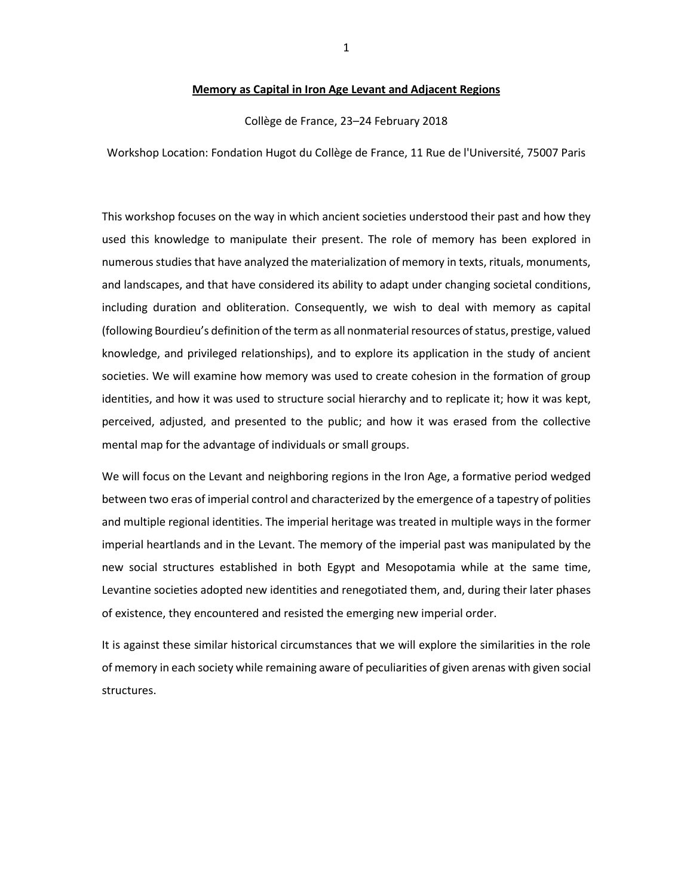#### **Memory as Capital in Iron Age Levant and Adjacent Regions**

Collège de France, 23–24 February 2018

Workshop Location: Fondation Hugot du Collège de France, 11 Rue de l'Université, 75007 Paris

This workshop focuses on the way in which ancient societies understood their past and how they used this knowledge to manipulate their present. The role of memory has been explored in numerous studiesthat have analyzed the materialization of memory in texts, rituals, monuments, and landscapes, and that have considered its ability to adapt under changing societal conditions, including duration and obliteration. Consequently, we wish to deal with memory as capital (following Bourdieu's definition of the term as all nonmaterial resources of status, prestige, valued knowledge, and privileged relationships), and to explore its application in the study of ancient societies. We will examine how memory was used to create cohesion in the formation of group identities, and how it was used to structure social hierarchy and to replicate it; how it was kept, perceived, adjusted, and presented to the public; and how it was erased from the collective mental map for the advantage of individuals or small groups.

We will focus on the Levant and neighboring regions in the Iron Age, a formative period wedged between two eras of imperial control and characterized by the emergence of a tapestry of polities and multiple regional identities. The imperial heritage was treated in multiple ways in the former imperial heartlands and in the Levant. The memory of the imperial past was manipulated by the new social structures established in both Egypt and Mesopotamia while at the same time, Levantine societies adopted new identities and renegotiated them, and, during their later phases of existence, they encountered and resisted the emerging new imperial order.

It is against these similar historical circumstances that we will explore the similarities in the role of memory in each society while remaining aware of peculiarities of given arenas with given social structures.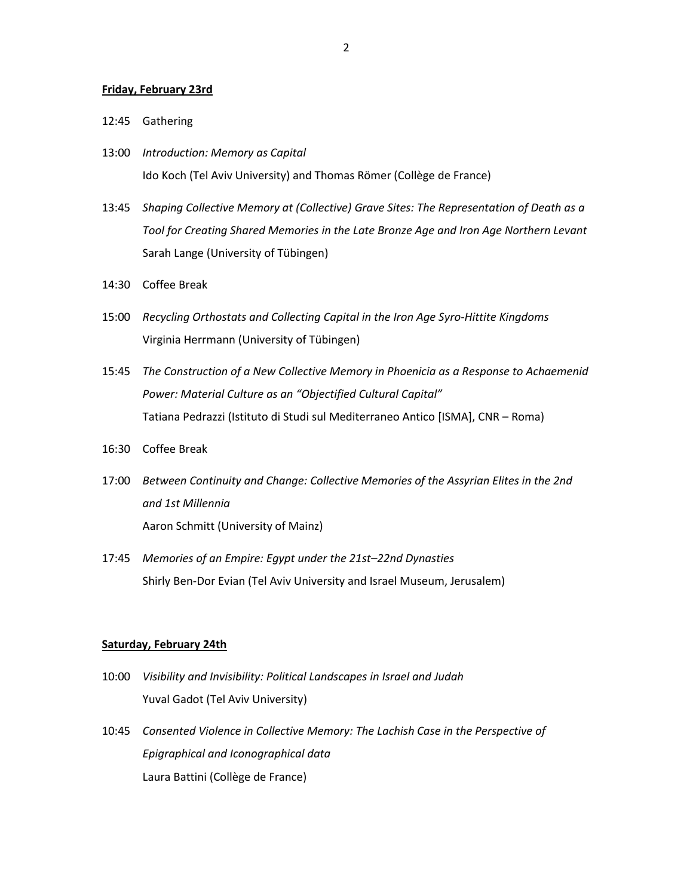#### **Friday, February 23rd**

- 12:45 Gathering
- 13:00 *Introduction: Memory as Capital* Ido Koch (Tel Aviv University) and Thomas Römer (Collège de France)
- 13:45 *Shaping Collective Memory at (Collective) Grave Sites: The Representation of Death as a Tool for Creating Shared Memories in the Late Bronze Age and Iron Age Northern Levant* Sarah Lange (University of Tübingen)
- 14:30 Coffee Break
- 15:00 *Recycling Orthostats and Collecting Capital in the Iron Age Syro-Hittite Kingdoms* Virginia Herrmann (University of Tübingen)
- 15:45 *The Construction of a New Collective Memory in Phoenicia as a Response to Achaemenid Power: Material Culture as an "Objectified Cultural Capital"* Tatiana Pedrazzi (Istituto di Studi sul Mediterraneo Antico [ISMA], CNR – Roma)
- 16:30 Coffee Break
- 17:00 *Between Continuity and Change: Collective Memories of the Assyrian Elites in the 2nd and 1st Millennia* Aaron Schmitt (University of Mainz)
- 17:45 *Memories of an Empire: Egypt under the 21st–22nd Dynasties* Shirly Ben-Dor Evian (Tel Aviv University and Israel Museum, Jerusalem)

#### **Saturday, February 24th**

- 10:00 *Visibility and Invisibility: Political Landscapes in Israel and Judah* Yuval Gadot (Tel Aviv University)
- 10:45 *Consented Violence in Collective Memory: The Lachish Case in the Perspective of Epigraphical and Iconographical data* Laura Battini (Collège de France)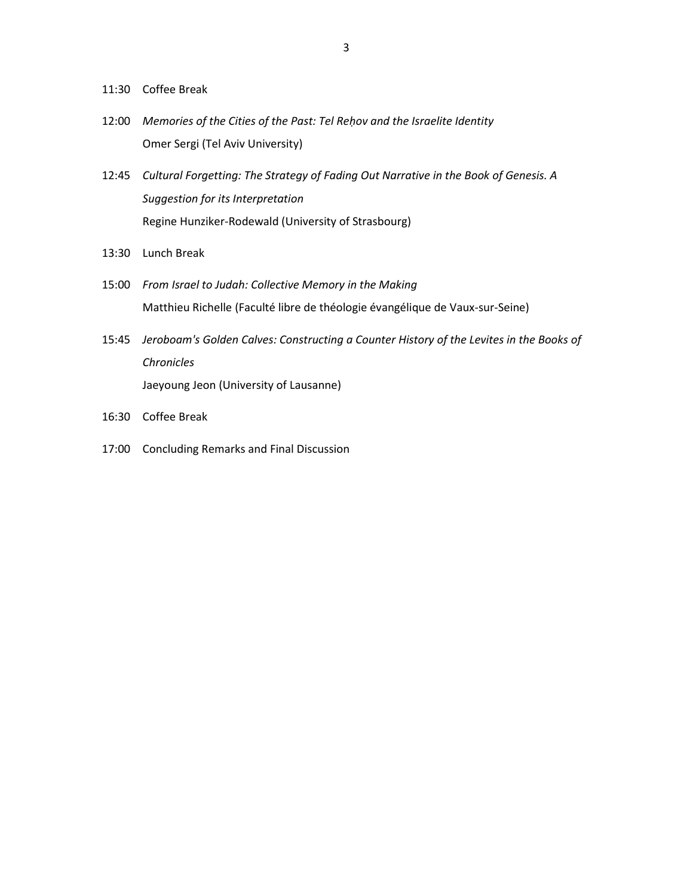- 11:30 Coffee Break
- 12:00 *Memories of the Cities of the Past: Tel Reḥov and the Israelite Identity* Omer Sergi (Tel Aviv University)
- 12:45 *Cultural Forgetting: The Strategy of Fading Out Narrative in the Book of Genesis. A Suggestion for its Interpretation* Regine Hunziker-Rodewald (University of Strasbourg)
- 13:30 Lunch Break
- 15:00 *From Israel to Judah: Collective Memory in the Making* Matthieu Richelle (Faculté libre de théologie évangélique de Vaux-sur-Seine)
- 15:45 *Jeroboam's Golden Calves: Constructing a Counter History of the Levites in the Books of Chronicles* Jaeyoung Jeon (University of Lausanne)
- 16:30 Coffee Break
- 17:00 Concluding Remarks and Final Discussion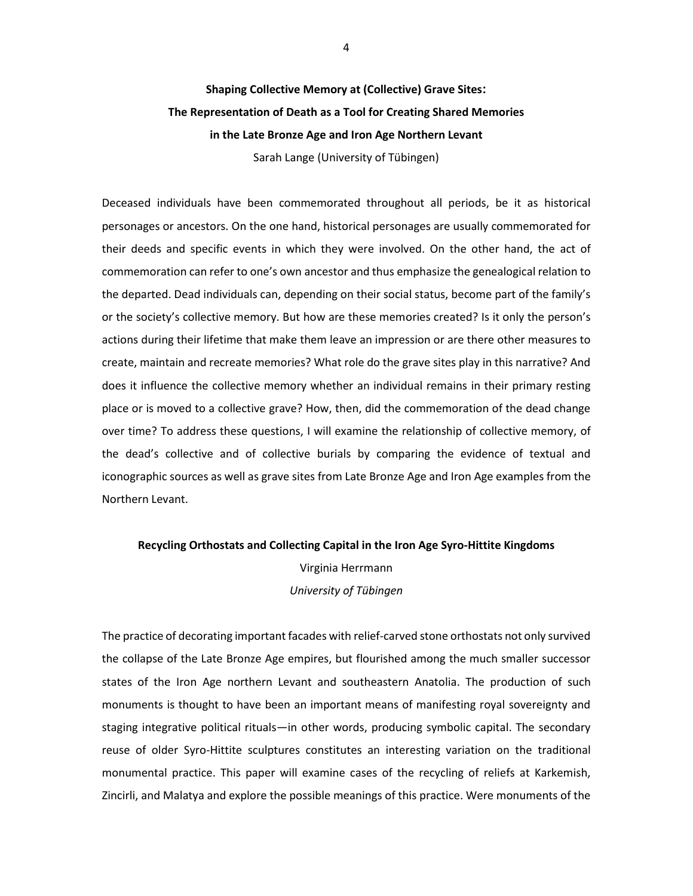# **Shaping Collective Memory at (Collective) Grave Sites: The Representation of Death as a Tool for Creating Shared Memories in the Late Bronze Age and Iron Age Northern Levant** Sarah Lange (University of Tübingen)

Deceased individuals have been commemorated throughout all periods, be it as historical personages or ancestors. On the one hand, historical personages are usually commemorated for their deeds and specific events in which they were involved. On the other hand, the act of commemoration can refer to one's own ancestor and thus emphasize the genealogical relation to the departed. Dead individuals can, depending on their social status, become part of the family's or the society's collective memory. But how are these memories created? Is it only the person's actions during their lifetime that make them leave an impression or are there other measures to create, maintain and recreate memories? What role do the grave sites play in this narrative? And does it influence the collective memory whether an individual remains in their primary resting place or is moved to a collective grave? How, then, did the commemoration of the dead change over time? To address these questions, I will examine the relationship of collective memory, of the dead's collective and of collective burials by comparing the evidence of textual and iconographic sources as well as grave sites from Late Bronze Age and Iron Age examples from the Northern Levant.

# **Recycling Orthostats and Collecting Capital in the Iron Age Syro-Hittite Kingdoms** Virginia Herrmann

*University of Tübingen*

The practice of decorating important facades with relief-carved stone orthostats not only survived the collapse of the Late Bronze Age empires, but flourished among the much smaller successor states of the Iron Age northern Levant and southeastern Anatolia. The production of such monuments is thought to have been an important means of manifesting royal sovereignty and staging integrative political rituals—in other words, producing symbolic capital. The secondary reuse of older Syro-Hittite sculptures constitutes an interesting variation on the traditional monumental practice. This paper will examine cases of the recycling of reliefs at Karkemish, Zincirli, and Malatya and explore the possible meanings of this practice. Were monuments of the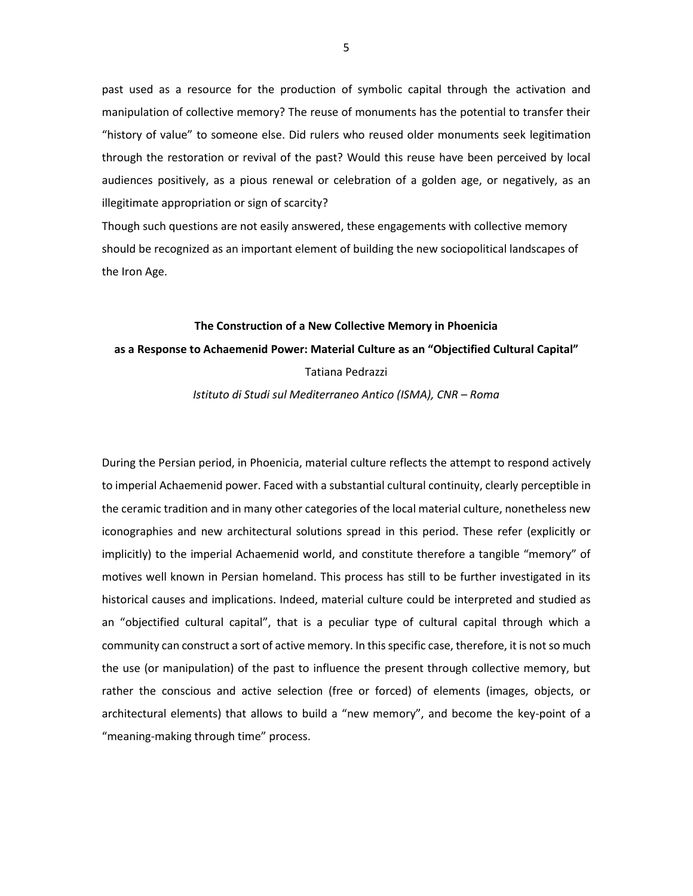past used as a resource for the production of symbolic capital through the activation and manipulation of collective memory? The reuse of monuments has the potential to transfer their "history of value" to someone else. Did rulers who reused older monuments seek legitimation through the restoration or revival of the past? Would this reuse have been perceived by local audiences positively, as a pious renewal or celebration of a golden age, or negatively, as an illegitimate appropriation or sign of scarcity?

Though such questions are not easily answered, these engagements with collective memory should be recognized as an important element of building the new sociopolitical landscapes of the Iron Age.

# **The Construction of a New Collective Memory in Phoenicia as a Response to Achaemenid Power: Material Culture as an "Objectified Cultural Capital"** Tatiana Pedrazzi

#### *Istituto di Studi sul Mediterraneo Antico (ISMA), CNR – Roma*

During the Persian period, in Phoenicia, material culture reflects the attempt to respond actively to imperial Achaemenid power. Faced with a substantial cultural continuity, clearly perceptible in the ceramic tradition and in many other categories of the local material culture, nonetheless new iconographies and new architectural solutions spread in this period. These refer (explicitly or implicitly) to the imperial Achaemenid world, and constitute therefore a tangible "memory" of motives well known in Persian homeland. This process has still to be further investigated in its historical causes and implications. Indeed, material culture could be interpreted and studied as an "objectified cultural capital", that is a peculiar type of cultural capital through which a community can construct a sort of active memory. In this specific case, therefore, it is not so much the use (or manipulation) of the past to influence the present through collective memory, but rather the conscious and active selection (free or forced) of elements (images, objects, or architectural elements) that allows to build a "new memory", and become the key-point of a "meaning-making through time" process.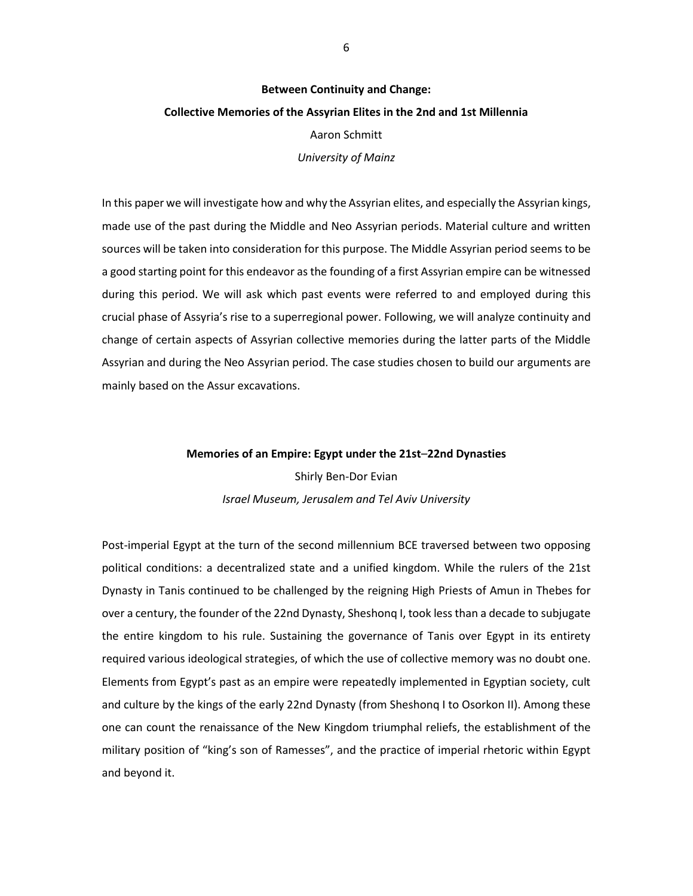#### **Between Continuity and Change:**

#### **Collective Memories of the Assyrian Elites in the 2nd and 1st Millennia**

#### Aaron Schmitt

*University of Mainz*

In this paper we will investigate how and why the Assyrian elites, and especially the Assyrian kings, made use of the past during the Middle and Neo Assyrian periods. Material culture and written sources will be taken into consideration for this purpose. The Middle Assyrian period seems to be a good starting point for this endeavor as the founding of a first Assyrian empire can be witnessed during this period. We will ask which past events were referred to and employed during this crucial phase of Assyria's rise to a superregional power. Following, we will analyze continuity and change of certain aspects of Assyrian collective memories during the latter parts of the Middle Assyrian and during the Neo Assyrian period. The case studies chosen to build our arguments are mainly based on the Assur excavations.

## **Memories of an Empire: Egypt under the 21st***–***22nd Dynasties** Shirly Ben-Dor Evian *Israel Museum, Jerusalem and Tel Aviv University*

Post-imperial Egypt at the turn of the second millennium BCE traversed between two opposing political conditions: a decentralized state and a unified kingdom. While the rulers of the 21st Dynasty in Tanis continued to be challenged by the reigning High Priests of Amun in Thebes for over a century, the founder of the 22nd Dynasty, Sheshonq I, took less than a decade to subjugate the entire kingdom to his rule. Sustaining the governance of Tanis over Egypt in its entirety required various ideological strategies, of which the use of collective memory was no doubt one. Elements from Egypt's past as an empire were repeatedly implemented in Egyptian society, cult and culture by the kings of the early 22nd Dynasty (from Sheshonq I to Osorkon II). Among these one can count the renaissance of the New Kingdom triumphal reliefs, the establishment of the military position of "king's son of Ramesses", and the practice of imperial rhetoric within Egypt and beyond it.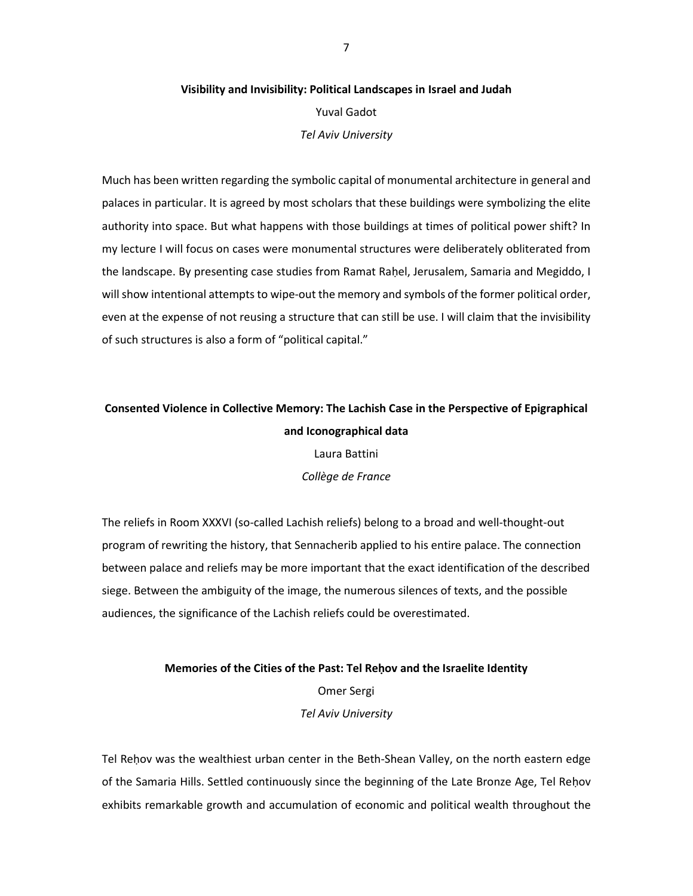## **Visibility and Invisibility: Political Landscapes in Israel and Judah**  Yuval Gadot *Tel Aviv University*

Much has been written regarding the symbolic capital of monumental architecture in general and palaces in particular. It is agreed by most scholars that these buildings were symbolizing the elite authority into space. But what happens with those buildings at times of political power shift? In my lecture I will focus on cases were monumental structures were deliberately obliterated from the landscape. By presenting case studies from Ramat Raḥel, Jerusalem, Samaria and Megiddo, I will show intentional attempts to wipe-out the memory and symbols of the former political order, even at the expense of not reusing a structure that can still be use. I will claim that the invisibility of such structures is also a form of "political capital."

### **Consented Violence in Collective Memory: The Lachish Case in the Perspective of Epigraphical and Iconographical data**

Laura Battini *Collège de France*

The reliefs in Room XXXVI (so-called Lachish reliefs) belong to a broad and well-thought-out program of rewriting the history, that Sennacherib applied to his entire palace. The connection between palace and reliefs may be more important that the exact identification of the described siege. Between the ambiguity of the image, the numerous silences of texts, and the possible audiences, the significance of the Lachish reliefs could be overestimated.

> **Memories of the Cities of the Past: Tel Reḥov and the Israelite Identity** Omer Sergi *Tel Aviv University*

Tel Reḥov was the wealthiest urban center in the Beth-Shean Valley, on the north eastern edge of the Samaria Hills. Settled continuously since the beginning of the Late Bronze Age, Tel Reḥov exhibits remarkable growth and accumulation of economic and political wealth throughout the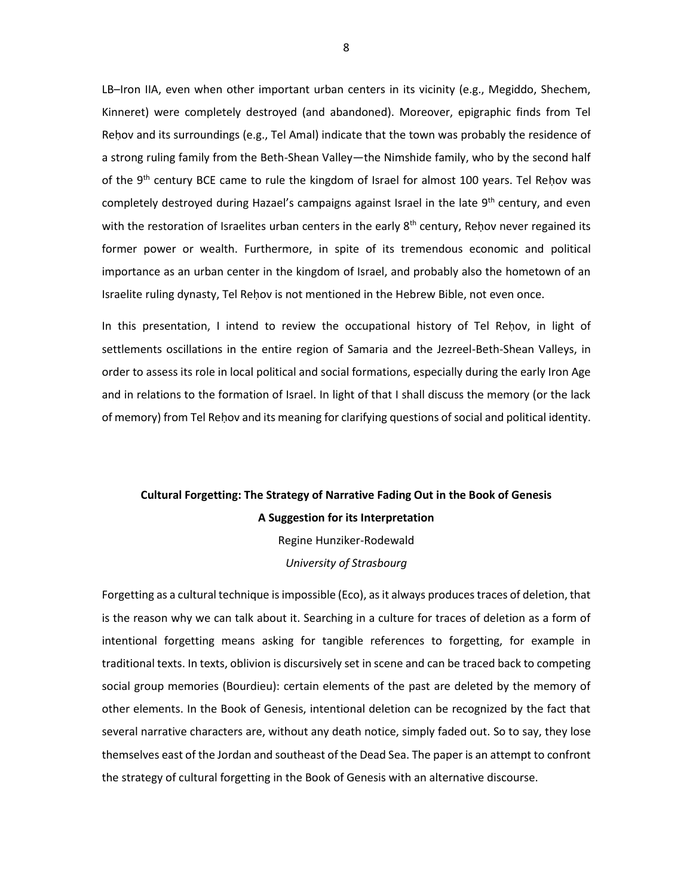LB–Iron IIA, even when other important urban centers in its vicinity (e.g., Megiddo, Shechem, Kinneret) were completely destroyed (and abandoned). Moreover, epigraphic finds from Tel Reḥov and its surroundings (e.g., Tel Amal) indicate that the town was probably the residence of a strong ruling family from the Beth-Shean Valley—the Nimshide family, who by the second half of the 9<sup>th</sup> century BCE came to rule the kingdom of Israel for almost 100 years. Tel Reḥov was completely destroyed during Hazael's campaigns against Israel in the late 9<sup>th</sup> century, and even with the restoration of Israelites urban centers in the early  $8<sup>th</sup>$  century, Rehov never regained its former power or wealth. Furthermore, in spite of its tremendous economic and political importance as an urban center in the kingdom of Israel, and probably also the hometown of an Israelite ruling dynasty, Tel Reḥov is not mentioned in the Hebrew Bible, not even once.

In this presentation, I intend to review the occupational history of Tel Reḥov, in light of settlements oscillations in the entire region of Samaria and the Jezreel-Beth-Shean Valleys, in order to assess its role in local political and social formations, especially during the early Iron Age and in relations to the formation of Israel. In light of that I shall discuss the memory (or the lack of memory) from Tel Reḥov and its meaning for clarifying questions of social and political identity.

# **Cultural Forgetting: The Strategy of Narrative Fading Out in the Book of Genesis A Suggestion for its Interpretation**

Regine Hunziker-Rodewald *University of Strasbourg*

Forgetting as a cultural technique is impossible (Eco), as it always produces traces of deletion, that is the reason why we can talk about it. Searching in a culture for traces of deletion as a form of intentional forgetting means asking for tangible references to forgetting, for example in traditional texts. In texts, oblivion is discursively set in scene and can be traced back to competing social group memories (Bourdieu): certain elements of the past are deleted by the memory of other elements. In the Book of Genesis, intentional deletion can be recognized by the fact that several narrative characters are, without any death notice, simply faded out. So to say, they lose themselves east of the Jordan and southeast of the Dead Sea. The paper is an attempt to confront the strategy of cultural forgetting in the Book of Genesis with an alternative discourse.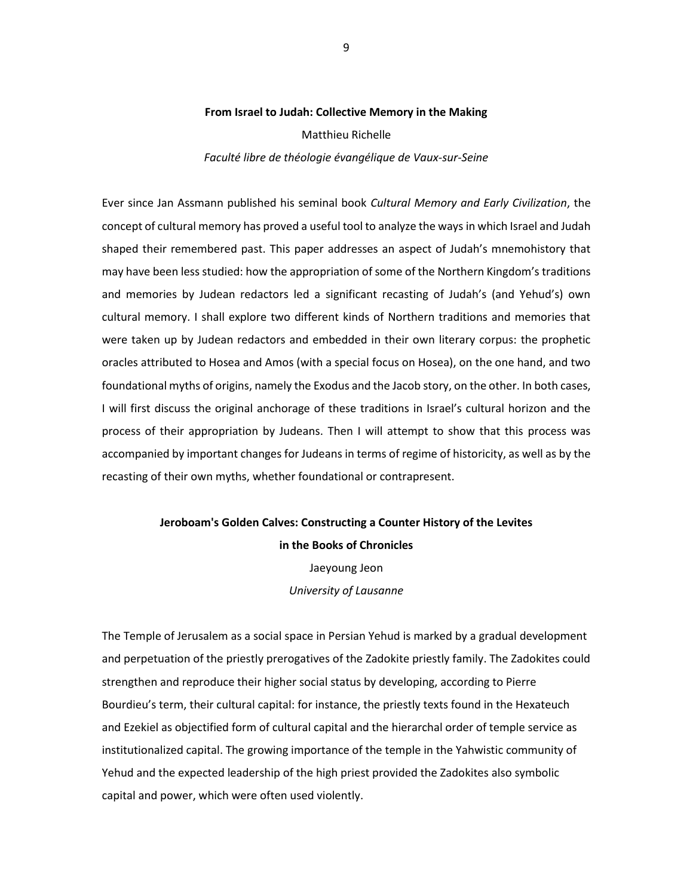#### **From Israel to Judah: Collective Memory in the Making**

Matthieu Richelle

*Faculté libre de théologie évangélique de Vaux-sur-Seine*

Ever since Jan Assmann published his seminal book *Cultural Memory and Early Civilization*, the concept of cultural memory has proved a useful tool to analyze the ways in which Israel and Judah shaped their remembered past. This paper addresses an aspect of Judah's mnemohistory that may have been less studied: how the appropriation of some of the Northern Kingdom's traditions and memories by Judean redactors led a significant recasting of Judah's (and Yehud's) own cultural memory. I shall explore two different kinds of Northern traditions and memories that were taken up by Judean redactors and embedded in their own literary corpus: the prophetic oracles attributed to Hosea and Amos (with a special focus on Hosea), on the one hand, and two foundational myths of origins, namely the Exodus and the Jacob story, on the other. In both cases, I will first discuss the original anchorage of these traditions in Israel's cultural horizon and the process of their appropriation by Judeans. Then I will attempt to show that this process was accompanied by important changes for Judeans in terms of regime of historicity, as well as by the recasting of their own myths, whether foundational or contrapresent.

# **Jeroboam's Golden Calves: Constructing a Counter History of the Levites in the Books of Chronicles** Jaeyoung Jeon

*University of Lausanne*

The Temple of Jerusalem as a social space in Persian Yehud is marked by a gradual development and perpetuation of the priestly prerogatives of the Zadokite priestly family. The Zadokites could strengthen and reproduce their higher social status by developing, according to Pierre Bourdieu's term, their cultural capital: for instance, the priestly texts found in the Hexateuch and Ezekiel as objectified form of cultural capital and the hierarchal order of temple service as institutionalized capital. The growing importance of the temple in the Yahwistic community of Yehud and the expected leadership of the high priest provided the Zadokites also symbolic capital and power, which were often used violently.